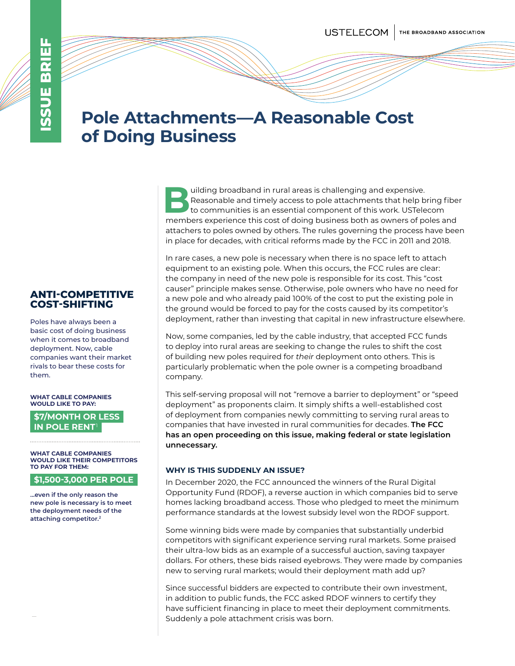ЦĪ.

# **Pole Attachments—A Reasonable Cost of Doing Business**

uilding broadband in rural areas is challenging and expensive.<br>
Reasonable and timely access to pole attachments that help b<br>
to communities is an essential component of this work. USTele<br>
mambers experience this gest of d Reasonable and timely access to pole attachments that help bring fiber to communities is an essential component of this work. USTelecom members experience this cost of doing business both as owners of poles and attachers to poles owned by others. The rules governing the process have been in place for decades, with critical reforms made by the FCC in 2011 and 2018.

In rare cases, a new pole is necessary when there is no space left to attach equipment to an existing pole. When this occurs, the FCC rules are clear: the company in need of the new pole is responsible for its cost. This "cost causer" principle makes sense. Otherwise, pole owners who have no need for a new pole and who already paid 100% of the cost to put the existing pole in the ground would be forced to pay for the costs caused by its competitor's deployment, rather than investing that capital in new infrastructure elsewhere.

Now, some companies, led by the cable industry, that accepted FCC funds to deploy into rural areas are seeking to change the rules to shift the cost of building new poles required for *their* deployment onto others. This is particularly problematic when the pole owner is a competing broadband company.

This self-serving proposal will not "remove a barrier to deployment" or "speed deployment" as proponents claim. It simply shifts a well-established cost of deployment from companies newly committing to serving rural areas to companies that have invested in rural communities for decades. **The FCC has an open proceeding on this issue, making federal or state legislation unnecessary.**

## **WHY IS THIS SUDDENLY AN ISSUE?**

In December 2020, the FCC announced the winners of the Rural Digital Opportunity Fund (RDOF), a reverse auction in which companies bid to serve homes lacking broadband access. Those who pledged to meet the minimum performance standards at the lowest subsidy level won the RDOF support.

Some winning bids were made by companies that substantially underbid competitors with significant experience serving rural markets. Some praised their ultra-low bids as an example of a successful auction, saving taxpayer dollars. For others, these bids raised eyebrows. They were made by companies new to serving rural markets; would their deployment math add up?

Since successful bidders are expected to contribute their own investment, in addition to public funds, the FCC asked RDOF winners to certify they have sufficient financing in place to meet their deployment commitments. Suddenly a pole attachment crisis was born.

**ANTI-COMPETITIVE COST-SHIFTING**

Poles have always been a basic cost of doing business when it comes to broadband deployment. Now, cable companies want their market rivals to bear these costs for them.

**WHAT CABLE COMPANIES WOULD LIKE TO PAY:**

**\$7/MONTH OR LESS IN POLE RENT** 

**WHAT CABLE COMPANIES WOULD LIKE THEIR COMPETITORS TO PAY FOR THEM:**

**\$1,500-3,000 PER POLE**

**...even if the only reason the new pole is necessary is to meet the deployment needs of the attaching competitor.2**